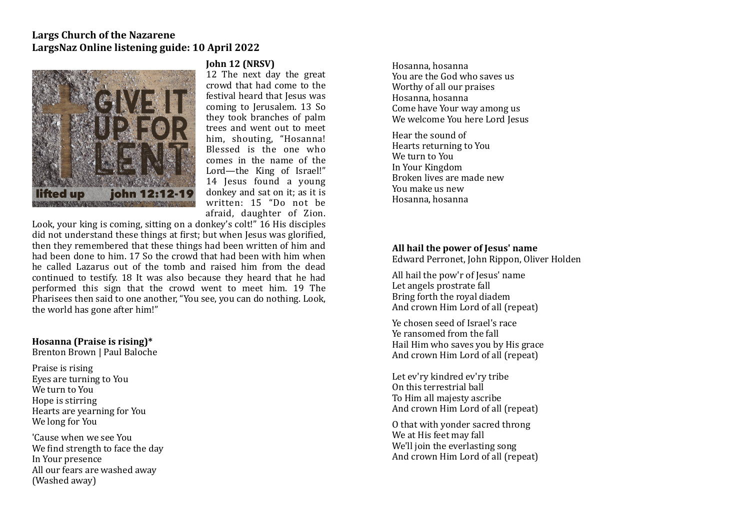# **Largs Church of the Nazarene** LargsNaz Online listening guide: 10 April 2022



### *<u>Iohn 12 (NRSV)</u>*

12 The next day the great crowd that had come to the festival heard that Jesus was coming to Jerusalem. 13 So they took branches of palm trees and went out to meet him, shouting, "Hosanna! Blessed is the one who comes in the name of the Lord—the King of Israel!" 14 Jesus found a young donkey and sat on it; as it is written: 15 "Do not be afraid, daughter of Zion.

Look, your king is coming, sitting on a donkey's colt!" 16 His disciples did not understand these things at first; but when Jesus was glorified. then they remembered that these things had been written of him and had been done to him. 17 So the crowd that had been with him when he called Lazarus out of the tomb and raised him from the dead continued to testify. 18 It was also because they heard that he had performed this sign that the crowd went to meet him. 19 The Pharisees then said to one another, "You see, you can do nothing. Look, the world has gone after him!"

# **Hosanna** (Praise is rising)\*

Brenton Brown | Paul Baloche

Praise is rising Eyes are turning to You We turn to You Hope is stirring Hearts are vearning for You We long for You

'Cause when we see You We find strength to face the day In Your presence All our fears are washed away (Washed away)

Hosanna, hosanna You are the God who saves us Worthy of all our praises Hosanna, hosanna Come have Your way among us We welcome You here Lord Jesus

Hear the sound of Hearts returning to You We turn to You In Your Kingdom Broken lives are made new You make us new Hosanna, hosanna

## All hail the power of **Jesus'** name

Edward Perronet, John Rippon, Oliver Holden

All hail the pow'r of Jesus' name Let angels prostrate fall Bring forth the royal diadem And crown Him Lord of all (repeat)

Ye chosen seed of Israel's race Ye ransomed from the fall Hail Him who saves you by His grace And crown Him Lord of all (repeat)

Let ev'ry kindred ev'ry tribe On this terrestrial hall To Him all majesty ascribe And crown Him Lord of all (repeat)

O that with yonder sacred throng We at His feet may fall We'll join the everlasting song And crown Him Lord of all (repeat)